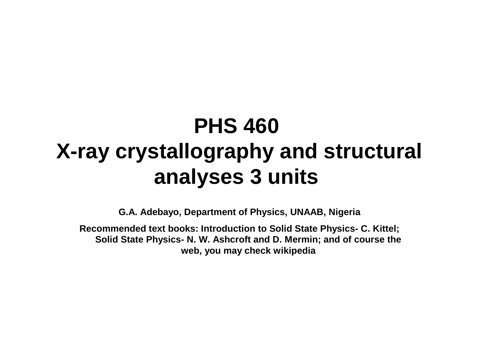#### **PHS 460 X-ray crystallography and structural analyses 3 units**

**G.A. Adebayo, Department of Physics, UNAAB, Nigeria**

**Recommended text books: Introduction to Solid State Physics- C. Kittel; Solid State Physics- N. W. Ashcroft and D. Mermin; and of course the web, you may check wikipedia**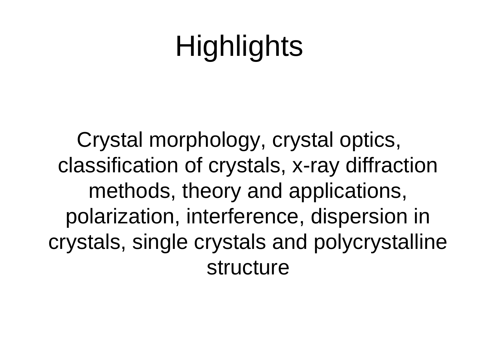## **Highlights**

Crystal morphology, crystal optics, classification of crystals, x-ray diffraction methods, theory and applications, polarization, interference, dispersion in crystals, single crystals and polycrystalline structure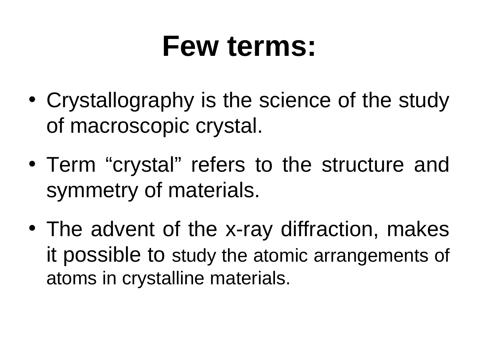#### **Few terms:**

- Crystallography is the science of the study of macroscopic crystal.
- Term "crystal" refers to the structure and symmetry of materials.
- The advent of the x-ray diffraction, makes it possible to study the atomic arrangements of atoms in crystalline materials.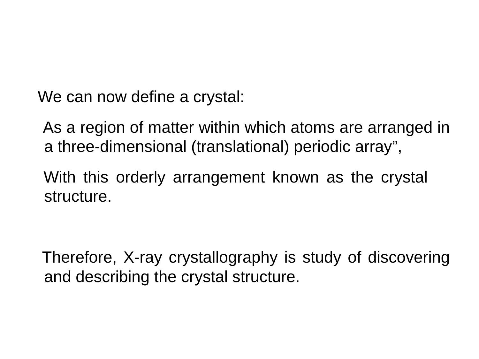We can now define a crystal:

 As a region of matter within which atoms are arranged in a three-dimensional (translational) periodic array",

 With this orderly arrangement known as the crystal structure.

 Therefore, X-ray crystallography is study of discovering and describing the crystal structure.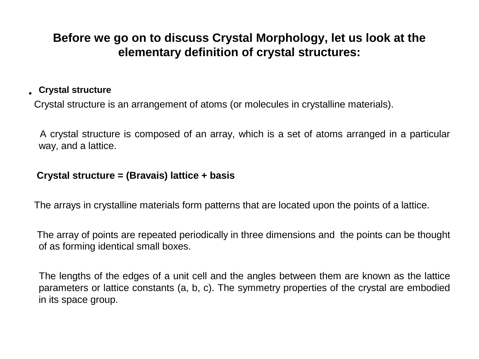#### **Before we go on to discuss Crystal Morphology, let us look at the elementary definition of crystal structures:**

#### • **Crystal structure**

Crystal structure is an arrangement of atoms (or molecules in crystalline materials).

 A crystal structure is composed of an array, which is a set of atoms arranged in a particular way, and a lattice.

#### **Crystal structure = (Bravais) lattice + basis**

The arrays in crystalline materials form patterns that are located upon the points of a lattice.

 The array of points are repeated periodically in three dimensions and the points can be thought of as forming identical small boxes.

 The lengths of the edges of a unit cell and the angles between them are known as the lattice parameters or lattice constants (a, b, c). The symmetry properties of the crystal are embodied in its space group.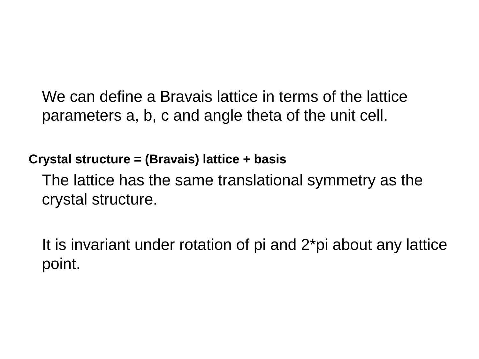We can define a Bravais lattice in terms of the lattice parameters a, b, c and angle theta of the unit cell.

**Crystal structure = (Bravais) lattice + basis**

 The lattice has the same translational symmetry as the crystal structure.

 It is invariant under rotation of pi and 2\*pi about any lattice point.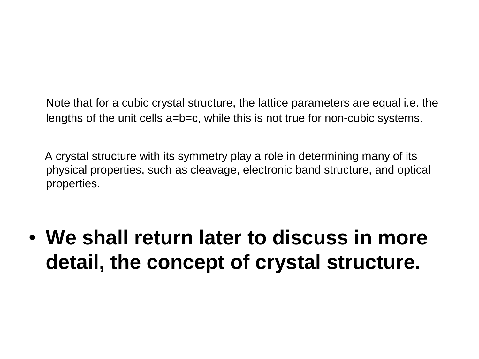Note that for a cubic crystal structure, the lattice parameters are equal i.e. the lengths of the unit cells a=b=c, while this is not true for non-cubic systems.

 A crystal structure with its symmetry play a role in determining many of its physical properties, such as cleavage, electronic band structure, and optical properties.

• **We shall return later to discuss in more detail, the concept of crystal structure.**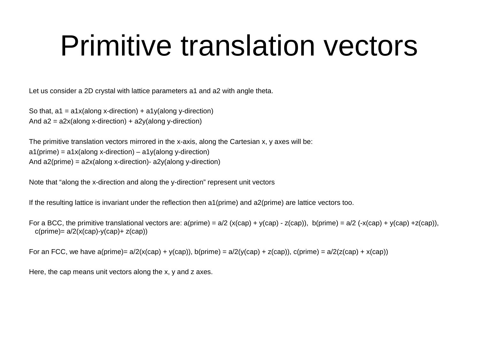#### Primitive translation vectors

Let us consider a 2D crystal with lattice parameters a1 and a2 with angle theta.

So that,  $a1 = a1x$ (along x-direction) +  $a1y$ (along y-direction) And  $a2 = a2x$ (along x-direction) +  $a2y$ (along y-direction)

The primitive translation vectors mirrored in the x-axis, along the Cartesian x, y axes will be:  $a1(p$ rime) =  $a1x$ (along x-direction) –  $a1y$ (along y-direction) And a2(prime) = a2x(along x-direction)- a2y(along y-direction)

Note that "along the x-direction and along the y-direction" represent unit vectors

If the resulting lattice is invariant under the reflection then a1(prime) and a2(prime) are lattice vectors too.

For a BCC, the primitive translational vectors are:  $a(prime) = a/2 (x(cap) + y(cap) - z(cap))$ , b(prime) =  $a/2$  (-x(cap) + y(cap) +z(cap)),  $c(p$ rime)=  $a/2(x(cap)-y(cap)+z(cap))$ 

For an FCC, we have a(prime)=  $a/2(x(cap) + y(cap))$ , b(prime) =  $a/2(y(cap) + z(cap))$ , c(prime) =  $a/2(z(cap) + x(cap))$ 

Here, the cap means unit vectors along the x, y and z axes.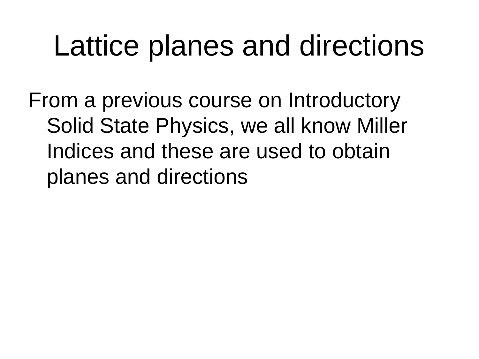### Lattice planes and directions

From a previous course on Introductory Solid State Physics, we all know Miller Indices and these are used to obtain planes and directions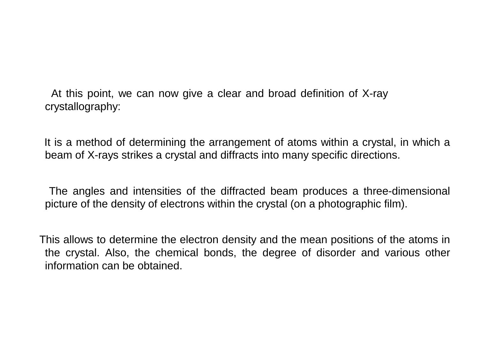At this point, we can now give a clear and broad definition of X-ray crystallography:

 It is a method of determining the arrangement of atoms within a crystal, in which a beam of X-rays strikes a crystal and diffracts into many specific directions.

 The angles and intensities of the diffracted beam produces a three-dimensional picture of the density of electrons within the crystal (on a photographic film).

 This allows to determine the electron density and the mean positions of the atoms in the crystal. Also, the chemical bonds, the degree of disorder and various other information can be obtained.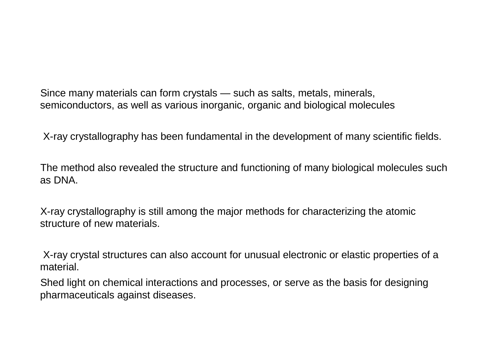Since many materials can form crystals — such as salts, metals, minerals, semiconductors, as well as various inorganic, organic and biological molecules

X-ray crystallography has been fundamental in the development of many scientific fields.

 The method also revealed the structure and functioning of many biological molecules such as DNA.

 X-ray crystallography is still among the major methods for characterizing the atomic structure of new materials.

 X-ray crystal structures can also account for unusual electronic or elastic properties of a material.

 Shed light on chemical interactions and processes, or serve as the basis for designing pharmaceuticals against diseases.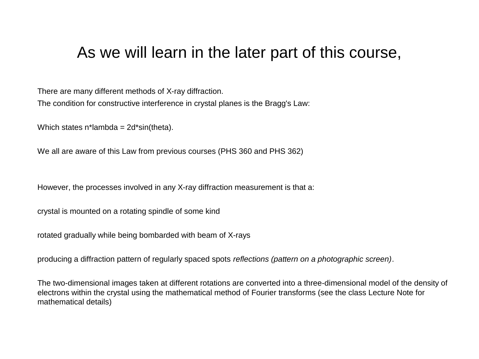#### As we will learn in the later part of this course,

 There are many different methods of X-ray diffraction. The condition for constructive interference in crystal planes is the Bragg's Law:

Which states  $n^*$ lambda =  $2d^*$ sin(theta).

We all are aware of this Law from previous courses (PHS 360 and PHS 362)

However, the processes involved in any X-ray diffraction measurement is that a:

crystal is mounted on a rotating spindle of some kind

rotated gradually while being bombarded with beam of X-rays

producing a diffraction pattern of regularly spaced spots *reflections (pattern on a photographic screen)*.

 The two-dimensional images taken at different rotations are converted into a three-dimensional model of the density of electrons within the crystal using the mathematical method of Fourier transforms (see the class Lecture Note for mathematical details)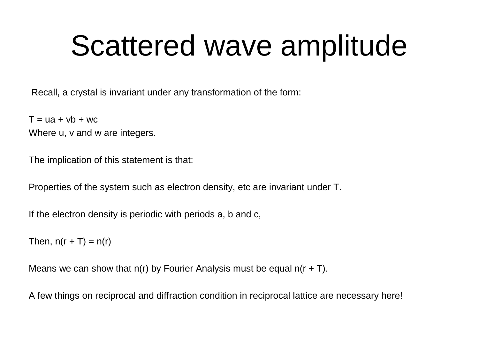### Scattered wave amplitude

Recall, a crystal is invariant under any transformation of the form:

 $T = ua + vb + wc$ Where u, v and w are integers.

The implication of this statement is that:

Properties of the system such as electron density, etc are invariant under T.

If the electron density is periodic with periods a, b and c,

Then,  $n(r + T) = n(r)$ 

Means we can show that  $n(r)$  by Fourier Analysis must be equal  $n(r + T)$ .

A few things on reciprocal and diffraction condition in reciprocal lattice are necessary here!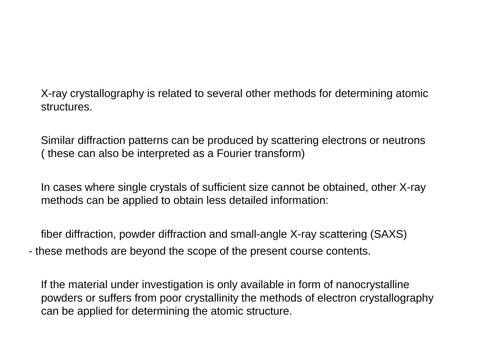X-ray crystallography is related to several other methods for determining atomic structures.

 Similar diffraction patterns can be produced by scattering electrons or neutrons ( these can also be interpreted as a Fourier transform)

 In cases where single crystals of sufficient size cannot be obtained, other X-ray methods can be applied to obtain less detailed information:

 fiber diffraction, powder diffraction and small-angle X-ray scattering (SAXS) - these methods are beyond the scope of the present course contents.

 If the material under investigation is only available in form of nanocrystalline powders or suffers from poor crystallinity the methods of electron crystallography can be applied for determining the atomic structure.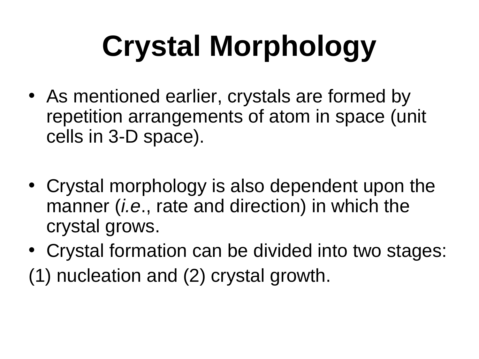# **Crystal Morphology**

- As mentioned earlier, crystals are formed by repetition arrangements of atom in space (unit cells in 3-D space).
- Crystal morphology is also dependent upon the manner (*i.e*., rate and direction) in which the crystal grows.
- Crystal formation can be divided into two stages: (1) nucleation and (2) crystal growth.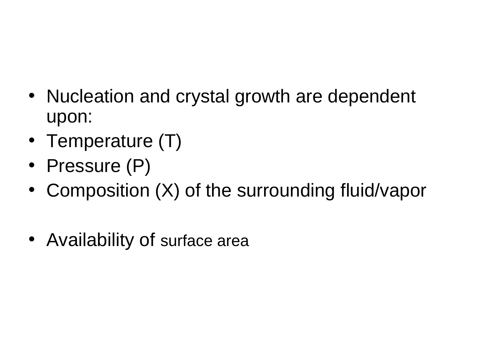- Nucleation and crystal growth are dependent upon:
- Temperature (T)
- Pressure (P)
- Composition (X) of the surrounding fluid/vapor
- Availability of surface area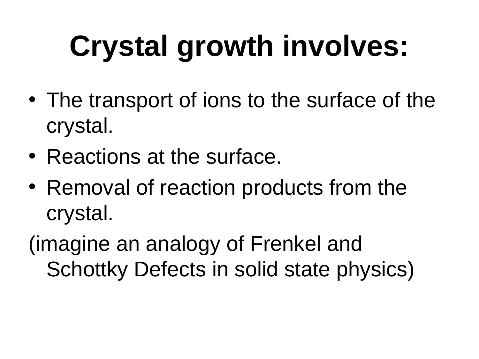# **Crystal growth involves:**

- The transport of ions to the surface of the crystal.
- Reactions at the surface.
- Removal of reaction products from the crystal.

(imagine an analogy of Frenkel and Schottky Defects in solid state physics)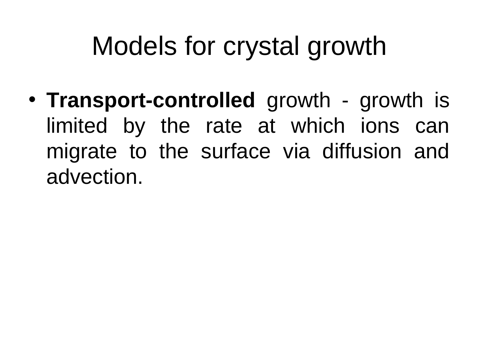#### Models for crystal growth

• **Transport-controlled** growth - growth is limited by the rate at which ions can migrate to the surface via diffusion and advection.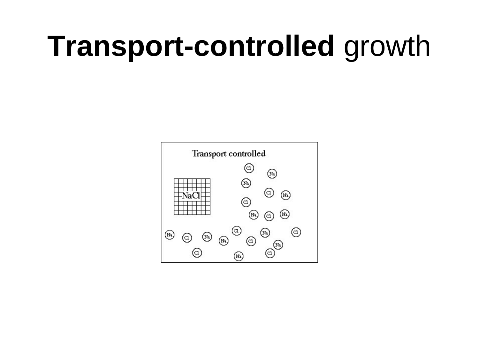#### **Transport-controlled** growth

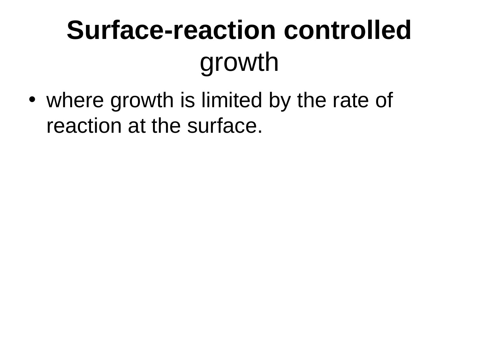### **Surface-reaction controlled** growth

• where growth is limited by the rate of reaction at the surface.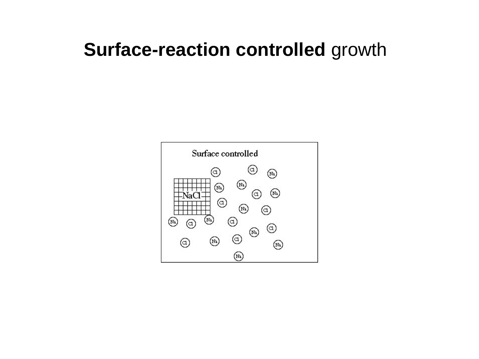#### **Surface-reaction controlled** growth

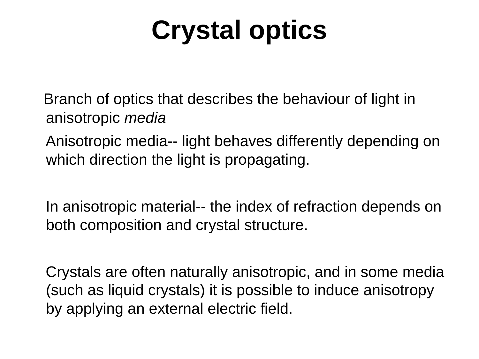#### **Crystal optics**

 Branch of optics that describes the behaviour of light in anisotropic *media*

 Anisotropic media-- light behaves differently depending on which direction the light is propagating.

 In anisotropic material-- the index of refraction depends on both composition and crystal structure.

 Crystals are often naturally anisotropic, and in some media (such as liquid crystals) it is possible to induce anisotropy by applying an external electric field.